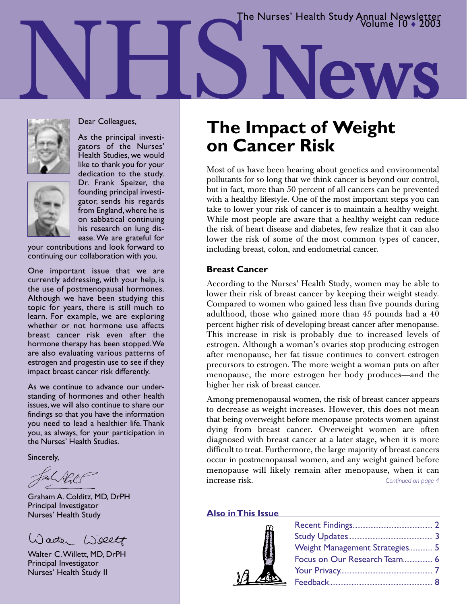The Nurses' Health Study Annual Newsletter

NHS**News**



Dear Colleagues,

As the principal investigators of the Nurses' Health Studies, we would like to thank you for your

dedication to the study. Dr. Frank Speizer, the founding principal investigator, sends his regards from England, where he is on sabbatical continuing his research on lung disease. We are grateful for

your contributions and look forward to continuing our collaboration with you.

One important issue that we are currently addressing, with your help, is the use of postmenopausal hormones. Although we have been studying this topic for years, there is still much to learn. For example, we are exploring whether or not hormone use affects breast cancer risk even after the hormone therapy has been stopped.We are also evaluating various patterns of estrogen and progestin use to see if they impact breast cancer risk differently.

As we continue to advance our understanding of hormones and other health issues, we will also continue to share our findings so that you have the information you need to lead a healthier life. Thank you, as always, for your participation in the Nurses' Health Studies.

Sincerely,

Afl-t

Graham A. Colditz, MD, DrPH Principal Investigator Nurses' Health Study

Waeter Wellt

Walter C.Willett, MD, DrPH Principal Investigator Nurses' Health Study II

## **The Impact of Weight on Cancer Risk**

Most of us have been hearing about genetics and environmental pollutants for so long that we think cancer is beyond our control, but in fact, more than 50 percent of all cancers can be prevented with a healthy lifestyle. One of the most important steps you can take to lower your risk of cancer is to maintain a healthy weight. While most people are aware that a healthy weight can reduce the risk of heart disease and diabetes, few realize that it can also lower the risk of some of the most common types of cancer, including breast, colon, and endometrial cancer.

### **Breast Cancer**

According to the Nurses' Health Study, women may be able to lower their risk of breast cancer by keeping their weight steady. Compared to women who gained less than five pounds during adulthood, those who gained more than 45 pounds had a 40 percent higher risk of developing breast cancer after menopause. This increase in risk is probably due to increased levels of estrogen. Although a woman's ovaries stop producing estrogen after menopause, her fat tissue continues to convert estrogen precursors to estrogen. The more weight a woman puts on after menopause, the more estrogen her body produces—and the higher her risk of breast cancer.

Among premenopausal women, the risk of breast cancer appears to decrease as weight increases. However, this does not mean that being overweight before menopause protects women against dying from breast cancer. Overweight women are often diagnosed with breast cancer at a later stage, when it is more difficult to treat. Furthermore, the large majority of breast cancers occur in postmenopausal women, and any weight gained before menopause will likely remain after menopause, when it can increase risk. *Continued on page 4*

### **Also in This Issue**



| Weight Management Strategies 5 |  |
|--------------------------------|--|
| Focus on Our Research Team 6   |  |
|                                |  |
|                                |  |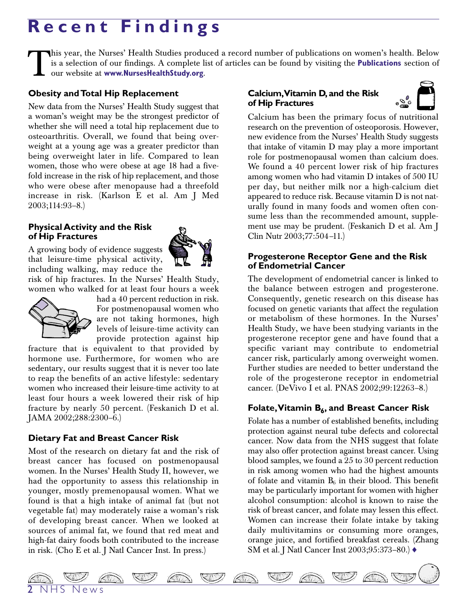# **Recent Findings**

This year, the Nurses' Health Studies produced a record number of publications on women's health. Below<br>is a selection of our findings. A complete list of articles can be found by visiting the **Publications** section of<br>our is a selection of our findings. A complete list of articles can be found by visiting the **Publications** section of our website at **www.NursesHealthStudy.org**.

### **Obesity and Total Hip Replacement**

New data from the Nurses' Health Study suggest that a woman's weight may be the strongest predictor of whether she will need a total hip replacement due to osteoarthritis. Overall, we found that being overweight at a young age was a greater predictor than being overweight later in life. Compared to lean women, those who were obese at age 18 had a fivefold increase in the risk of hip replacement, and those who were obese after menopause had a threefold increase in risk. (Karlson E et al. Am J Med 2003;114:93–8.)

### **Physical Activity and the Risk of Hip Fractures**

A growing body of evidence suggests that leisure-time physical activity, including walking, may reduce the

risk of hip fractures. In the Nurses' Health Study, women who walked for at least four hours a week



had a 40 percent reduction in risk. For postmenopausal women who are not taking hormones, high levels of leisure-time activity can provide protection against hip

fracture that is equivalent to that provided by hormone use. Furthermore, for women who are sedentary, our results suggest that it is never too late to reap the benefits of an active lifestyle: sedentary women who increased their leisure-time activity to at least four hours a week lowered their risk of hip fracture by nearly 50 percent. (Feskanich D et al. JAMA 2002;288:2300–6.)

### **Dietary Fat and Breast Cancer Risk**

Most of the research on dietary fat and the risk of breast cancer has focused on postmenopausal women. In the Nurses' Health Study II, however, we had the opportunity to assess this relationship in younger, mostly premenopausal women. What we found is that a high intake of animal fat (but not vegetable fat) may moderately raise a woman's risk of developing breast cancer. When we looked at sources of animal fat, we found that red meat and high-fat dairy foods both contributed to the increase in risk. (Cho E et al. J Natl Cancer Inst. In press.)

### **Calcium,Vitamin D, and the Risk of Hip Fractures**



Calcium has been the primary focus of nutritional research on the prevention of osteoporosis. However, new evidence from the Nurses' Health Study suggests that intake of vitamin D may play a more important role for postmenopausal women than calcium does. We found a 40 percent lower risk of hip fractures among women who had vitamin D intakes of 500 IU per day, but neither milk nor a high-calcium diet appeared to reduce risk. Because vitamin D is not naturally found in many foods and women often consume less than the recommended amount, supplement use may be prudent. (Feskanich D et al. Am J Clin Nutr 2003;77:504–11.)

### **Progesterone Receptor Gene and the Risk of Endometrial Cancer**

The development of endometrial cancer is linked to the balance between estrogen and progesterone. Consequently, genetic research on this disease has focused on genetic variants that affect the regulation or metabolism of these hormones. In the Nurses' Health Study, we have been studying variants in the progesterone receptor gene and have found that a specific variant may contribute to endometrial cancer risk, particularly among overweight women. Further studies are needed to better understand the role of the progesterone receptor in endometrial cancer. (DeVivo I et al. PNAS 2002;99:12263–8.)

### Folate, Vitamin B<sub>6</sub>, and Breast Cancer Risk

Folate has a number of established benefits, including protection against neural tube defects and colorectal cancer. Now data from the NHS suggest that folate may also offer protection against breast cancer. Using blood samples, we found a 25 to 30 percent reduction in risk among women who had the highest amounts of folate and vitamin  $B_6$  in their blood. This benefit may be particularly important for women with higher alcohol consumption: alcohol is known to raise the risk of breast cancer, and folate may lessen this effect. Women can increase their folate intake by taking daily multivitamins or consuming more oranges, orange juice, and fortified breakfast cereals. (Zhang SM et al. J Natl Cancer Inst 2003;95:373–80.) ♦

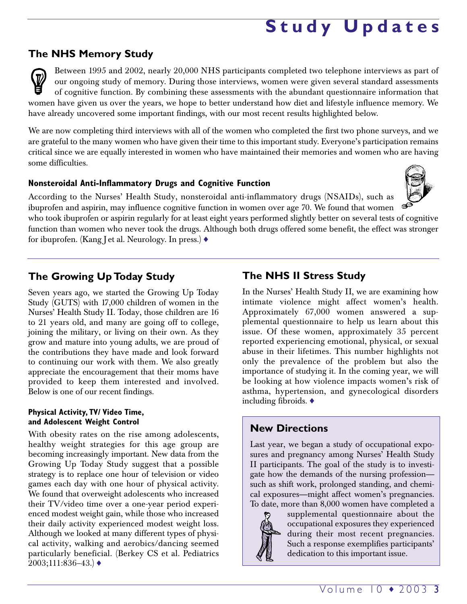# **Study Updates**

### **The NHS Memory Study**

Between 1995 and 2002, nearly 20,000 NHS participants completed two telephone interviews as part of our ongoing study of memory. During those interviews, women were given several standard assessments of cognitive function. By combining these assessments with the abundant questionnaire information that women have given us over the years, we hope to better understand how diet and lifestyle influence memory. We have already uncovered some important findings, with our most recent results highlighted below.

We are now completing third interviews with all of the women who completed the first two phone surveys, and we are grateful to the many women who have given their time to this important study. Everyone's participation remains critical since we are equally interested in women who have maintained their memories and women who are having some difficulties.

### **Nonsteroidal Anti-Inflammatory Drugs and Cognitive Function**

According to the Nurses' Health Study, nonsteroidal anti-inflammatory drugs (NSAIDs), such as ibuprofen and aspirin, may influence cognitive function in women over age 70. We found that women who took ibuprofen or aspirin regularly for at least eight years performed slightly better on several tests of cognitive function than women who never took the drugs. Although both drugs offered some benefit, the effect was stronger

for ibuprofen. (Kang J et al. Neurology. In press.) ♦

## **The Growing Up Today Study**

Seven years ago, we started the Growing Up Today Study (GUTS) with 17,000 children of women in the Nurses' Health Study II. Today, those children are 16 to 21 years old, and many are going off to college, joining the military, or living on their own. As they grow and mature into young adults, we are proud of the contributions they have made and look forward to continuing our work with them. We also greatly appreciate the encouragement that their moms have provided to keep them interested and involved. Below is one of our recent findings.

### **Physical Activity, TV/ Video Time, and Adolescent Weight Control**

With obesity rates on the rise among adolescents, healthy weight strategies for this age group are becoming increasingly important. New data from the Growing Up Today Study suggest that a possible strategy is to replace one hour of television or video games each day with one hour of physical activity. We found that overweight adolescents who increased their TV/video time over a one-year period experienced modest weight gain, while those who increased their daily activity experienced modest weight loss. Although we looked at many different types of physical activity, walking and aerobics/dancing seemed particularly beneficial. (Berkey CS et al. Pediatrics  $2003;111:836-43.$   $\blacklozenge$ 

## **The NHS II Stress Study**

In the Nurses' Health Study II, we are examining how intimate violence might affect women's health. Approximately 67,000 women answered a supplemental questionnaire to help us learn about this issue. Of these women, approximately 35 percent reported experiencing emotional, physical, or sexual abuse in their lifetimes. This number highlights not only the prevalence of the problem but also the importance of studying it. In the coming year, we will be looking at how violence impacts women's risk of asthma, hypertension, and gynecological disorders including fibroids. ♦

### **New Directions**

Last year, we began a study of occupational exposures and pregnancy among Nurses' Health Study II participants. The goal of the study is to investigate how the demands of the nursing profession such as shift work, prolonged standing, and chemical exposures—might affect women's pregnancies. To date, more than 8,000 women have completed a



supplemental questionnaire about the occupational exposures they experienced during their most recent pregnancies. Such a response exemplifies participants' dedication to this important issue.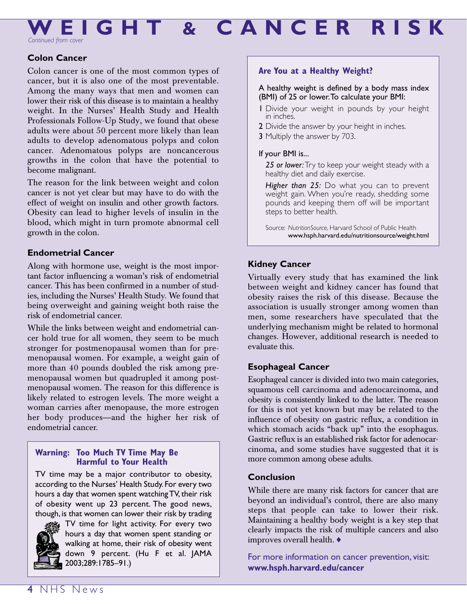**WEIGHT & CANCER RISK**

*Continued from cover*

### **Colon Cancer**

Colon cancer is one of the most common types of cancer, but it is also one of the most preventable. Among the many ways that men and women can lower their risk of this disease is to maintain a healthy weight. In the Nurses' Health Study and Health Professionals Follow-Up Study, we found that obese adults were about 50 percent more likely than lean adults to develop adenomatous polyps and colon cancer. Adenomatous polyps are noncancerous growths in the colon that have the potential to become malignant.

The reason for the link between weight and colon cancer is not yet clear but may have to do with the effect of weight on insulin and other growth factors. Obesity can lead to higher levels of insulin in the blood, which might in turn promote abnormal cell growth in the colon.

### **Endometrial Cancer**

Along with hormone use, weight is the most important factor influencing a woman's risk of endometrial cancer. This has been confirmed in a number of studies, including the Nurses' Health Study. We found that being overweight and gaining weight both raise the risk of endometrial cancer.

While the links between weight and endometrial cancer hold true for all women, they seem to be much stronger for postmenopausal women than for premenopausal women. For example, a weight gain of more than 40 pounds doubled the risk among premenopausal women but quadrupled it among postmenopausal women. The reason for this difference is likely related to estrogen levels. The more weight a woman carries after menopause, the more estrogen her body produces—and the higher her risk of endometrial cancer.

### **Warning: Too Much TV Time May Be Harmful to Your Health**

TV time may be a major contributor to obesity, according to the Nurses' Health Study.For every two hours a day that women spent watching TV, their risk of obesity went up 23 percent. The good news, though, is that women can lower their risk by trading



TV time for light activity. For every two hours a day that women spent standing or walking at home, their risk of obesity went down 9 percent. (Hu F et al. JAMA 2003;289:1785–91.)

### **Are You at a Healthy Weight?**

### A healthy weight is defined by a body mass index (BMI) of 25 or lower.To calculate your BMI:

- 1 Divide your weight in pounds by your height in inches.
- 2 Divide the answer by your height in inches.
- 3 Multiply the answer by 703.

### If your BMI is...

*25 or lower:*Try to keep your weight steady with a healthy diet and daily exercise.

*Higher than 25:* Do what you can to prevent weight gain. When you're ready, shedding some pounds and keeping them off will be important steps to better health.

Source: *NutritionSource,* Harvard School of Public Health www.hsph.harvard.edu/nutritionsource/weight.html

### **Kidney Cancer**

Virtually every study that has examined the link between weight and kidney cancer has found that obesity raises the risk of this disease. Because the association is usually stronger among women than men, some researchers have speculated that the underlying mechanism might be related to hormonal changes. However, additional research is needed to evaluate this.

### **Esophageal Cancer**

Esophageal cancer is divided into two main categories, squamous cell carcinoma and adenocarcinoma, and obesity is consistently linked to the latter. The reason for this is not yet known but may be related to the influence of obesity on gastric reflux, a condition in which stomach acids "back up" into the esophagus. Gastric reflux is an established risk factor for adenocarcinoma, and some studies have suggested that it is more common among obese adults.

### **Conclusion**

While there are many risk factors for cancer that are beyond an individual's control, there are also many steps that people can take to lower their risk. Maintaining a healthy body weight is a key step that clearly impacts the risk of multiple cancers and also improves overall health. ♦

For more information on cancer prevention, visit: **www.hsph.harvard.edu/cancer**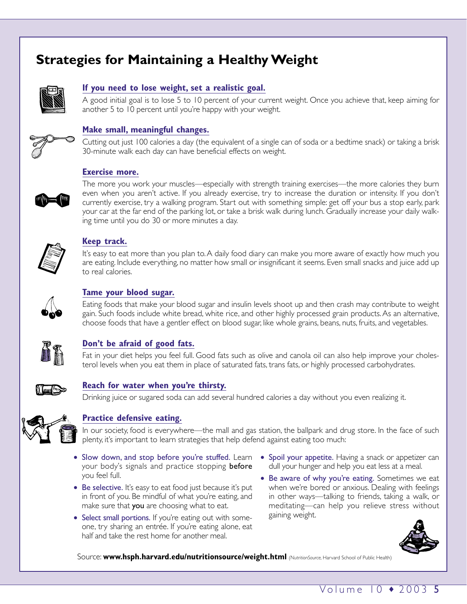## **Strategies for Maintaining a Healthy Weight**



### **If you need to lose weight, set a realistic goal.**

A good initial goal is to lose 5 to 10 percent of your current weight. Once you achieve that, keep aiming for another 5 to 10 percent until you're happy with your weight.



### **Make small, meaningful changes.**

Cutting out just 100 calories a day (the equivalent of a single can of soda or a bedtime snack) or taking a brisk 30-minute walk each day can have beneficial effects on weight.

### **Exercise more.**



The more you work your muscles—especially with strength training exercises—the more calories they burn even when you aren't active. If you already exercise, try to increase the duration or intensity. If you don't currently exercise, try a walking program. Start out with something simple: get off your bus a stop early, park your car at the far end of the parking lot, or take a brisk walk during lunch. Gradually increase your daily walking time until you do 30 or more minutes a day.



### **Keep track.**

It's easy to eat more than you plan to.A daily food diary can make you more aware of exactly how much you are eating. Include everything, no matter how small or insignificant it seems. Even small snacks and juice add up to real calories.



### **Tame your blood sugar.**

Eating foods that make your blood sugar and insulin levels shoot up and then crash may contribute to weight gain. Such foods include white bread, white rice, and other highly processed grain products. As an alternative, choose foods that have a gentler effect on blood sugar, like whole grains, beans, nuts, fruits, and vegetables.



### **Don't be afraid of good fats.**

Fat in your diet helps you feel full. Good fats such as olive and canola oil can also help improve your cholesterol levels when you eat them in place of saturated fats, trans fats, or highly processed carbohydrates.



### **Reach for water when you're thirsty.**

Drinking juice or sugared soda can add several hundred calories a day without you even realizing it.



### **Practice defensive eating.**

In our society, food is everywhere—the mall and gas station, the ballpark and drug store. In the face of such plenty, it's important to learn strategies that help defend against eating too much:

- Slow down, and stop before you're stuffed. Learn your body's signals and practice stopping **before** you feel full.
- Be selective. It's easy to eat food just because it's put in front of you. Be mindful of what you're eating, and make sure that you are choosing what to eat.
- Select small portions. If you're eating out with someone, try sharing an entrée. If you're eating alone, eat half and take the rest home for another meal.
- Spoil your appetite. Having a snack or appetizer can dull your hunger and help you eat less at a meal.
- Be aware of why you're eating. Sometimes we eat when we're bored or anxious. Dealing with feelings in other ways—talking to friends, taking a walk, or meditating—can help you relieve stress without gaining weight.



Source: **www.hsph.harvard.edu/nutritionsource/weight.html** *(NutritionSource,* Harvard School of Public Health)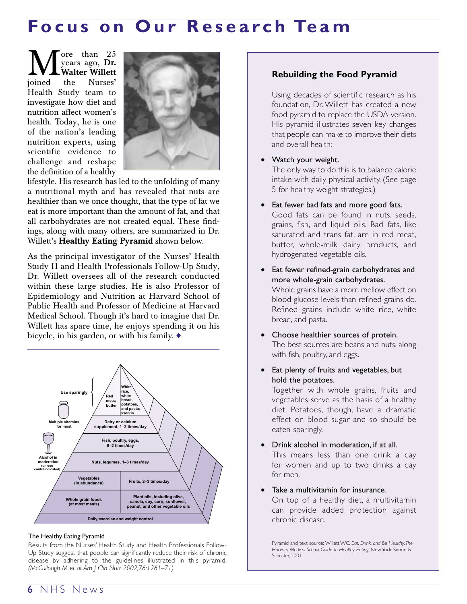## **Focus on Our Research Team**

 $\sum_{\text{years ago, Dr.}}$ years ago, **Dr. Walter Willett** joined the Nurses' Health Study team to investigate how diet and nutrition affect women's health. Today, he is one of the nation's leading nutrition experts, using scientific evidence to challenge and reshape the definition of a healthy



lifestyle. His research has led to the unfolding of many a nutritional myth and has revealed that nuts are healthier than we once thought, that the type of fat we eat is more important than the amount of fat, and that all carbohydrates are not created equal. These findings, along with many others, are summarized in Dr. Willett's **Healthy Eating Pyramid** shown below.

As the principal investigator of the Nurses' Health Study II and Health Professionals Follow-Up Study, Dr. Willett oversees all of the research conducted within these large studies. He is also Professor of Epidemiology and Nutrition at Harvard School of Public Health and Professor of Medicine at Harvard Medical School. Though it's hard to imagine that Dr. Willett has spare time, he enjoys spending it on his bicycle, in his garden, or with his family. ♦



### The Healthy Eating Pyramid

Results from the Nurses' Health Study and Health Professionals Follow-Up Study suggest that people can significantly reduce their risk of chronic disease by adhering to the guidelines illustrated in this pyramid. *(McCullough M et al. Am J Clin Nutr 2002;76:1261–71)*

### **Rebuilding the Food Pyramid**

Using decades of scientific research as his foundation, Dr. Willett has created a new food pyramid to replace the USDA version. His pyramid illustrates seven key changes that people can make to improve their diets and overall health:

### • Watch your weight.

bread, and pasta.

The only way to do this is to balance calorie intake with daily physical activity. (See page 5 for healthy weight strategies.)

- Eat fewer bad fats and more good fats. Good fats can be found in nuts, seeds, grains, fish, and liquid oils. Bad fats, like saturated and trans fat, are in red meat, butter, whole-milk dairy products, and hydrogenated vegetable oils.
- Eat fewer refined-grain carbohydrates and more whole-grain carbohydrates. Whole grains have a more mellow effect on blood glucose levels than refined grains do. Refined grains include white rice, white
- Choose healthier sources of protein. The best sources are beans and nuts, along with fish, poultry, and eggs.
- Eat plenty of fruits and vegetables, but hold the potatoes.

Together with whole grains, fruits and vegetables serve as the basis of a healthy diet. Potatoes, though, have a dramatic effect on blood sugar and so should be eaten sparingly.

- Drink alcohol in moderation, if at all. This means less than one drink a day for women and up to two drinks a day for men.
- Take a multivitamin for insurance.

On top of a healthy diet, a multivitamin can provide added protection against chronic disease.

Pyramid and text source: Willett WC*. Eat, Drink, and Be Healthy:The Harvard Medical School Guide to Healthy Eating*. New York: Simon & Schuster, 2001.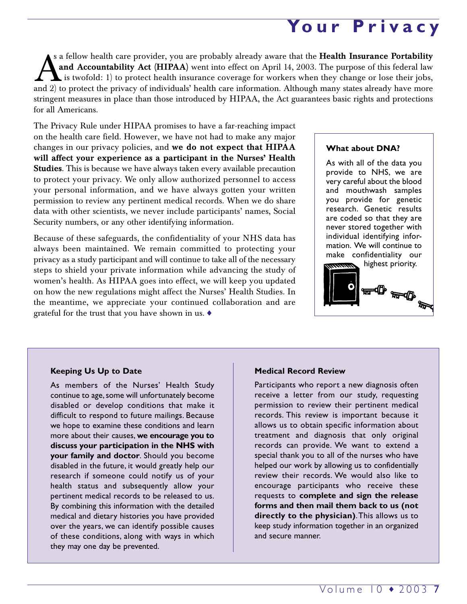# **Your Privacy**

s a fellow health care provider, you are probably already aware that the **Health Insurance Portability and Accountability Act (HIPAA)** went into effect on April 14, 2003. The purpose of this federal law **L** is twofold: 1) to protect health insurance coverage for workers when they change or lose their jobs, and 2) to protect the privacy of individuals' health care information. Although many states already have more stringent measures in place than those introduced by HIPAA, the Act guarantees basic rights and protections for all Americans.

The Privacy Rule under HIPAA promises to have a far-reaching impact on the health care field. However, we have not had to make any major changes in our privacy policies, and **we do not expect that HIPAA will affect your experience as a participant in the Nurses' Health Studies**. This is because we have always taken every available precaution to protect your privacy. We only allow authorized personnel to access your personal information, and we have always gotten your written permission to review any pertinent medical records. When we do share data with other scientists, we never include participants' names, Social Security numbers, or any other identifying information.

Because of these safeguards, the confidentiality of your NHS data has always been maintained. We remain committed to protecting your privacy as a study participant and will continue to take all of the necessary steps to shield your private information while advancing the study of women's health. As HIPAA goes into effect, we will keep you updated on how the new regulations might affect the Nurses' Health Studies. In the meantime, we appreciate your continued collaboration and are grateful for the trust that you have shown in us. ♦

### **What about DNA?**

As with all of the data you provide to NHS, we are very careful about the blood and mouthwash samples you provide for genetic research. Genetic results are coded so that they are never stored together with individual identifying information. We will continue to make confidentiality our



### **Keeping Us Up to Date**

As members of the Nurses' Health Study continue to age, some will unfortunately become disabled or develop conditions that make it difficult to respond to future mailings. Because we hope to examine these conditions and learn more about their causes, **we encourage you to discuss your participation in the NHS with your family and doctor**. Should you become disabled in the future, it would greatly help our research if someone could notify us of your health status and subsequently allow your pertinent medical records to be released to us. By combining this information with the detailed medical and dietary histories you have provided over the years, we can identify possible causes of these conditions, along with ways in which they may one day be prevented.

### **Medical Record Review**

Participants who report a new diagnosis often receive a letter from our study, requesting permission to review their pertinent medical records. This review is important because it allows us to obtain specific information about treatment and diagnosis that only original records can provide. We want to extend a special thank you to all of the nurses who have helped our work by allowing us to confidentially review their records. We would also like to encourage participants who receive these requests to **complete and sign the release forms and then mail them back to us (not directly to the physician)**.This allows us to keep study information together in an organized and secure manner.